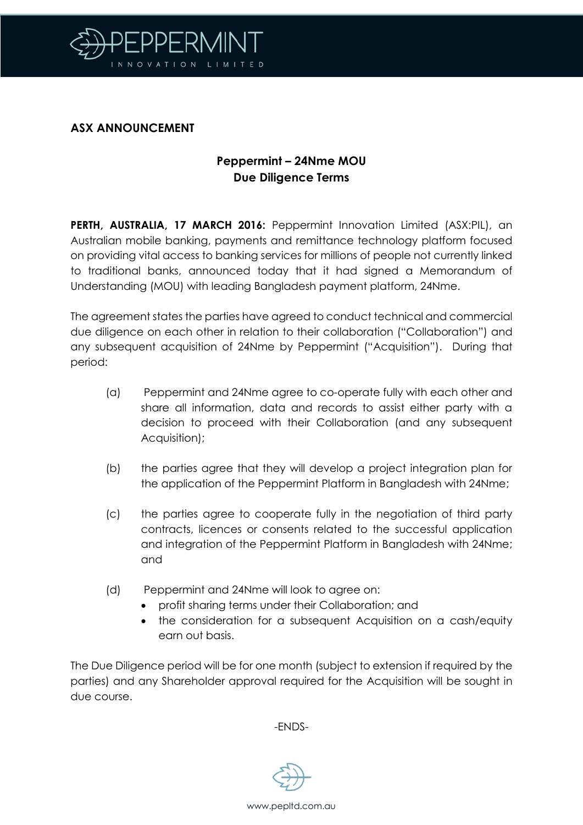

## **ASX ANNOUNCEMENT**

# **Peppermint – 24Nme MOU Due Diligence Terms**

**PERTH, AUSTRALIA, 17 MARCH 2016:** Peppermint Innovation Limited (ASX:PIL), an Australian mobile banking, payments and remittance technology platform focused on providing vital access to banking services for millions of people not currently linked to traditional banks, announced today that it had signed a Memorandum of Understanding (MOU) with leading Bangladesh payment platform, 24Nme.

The agreement states the parties have agreed to conduct technical and commercial due diligence on each other in relation to their collaboration ("Collaboration") and any subsequent acquisition of 24Nme by Peppermint ("Acquisition"). During that period:

- (a) Peppermint and 24Nme agree to co-operate fully with each other and share all information, data and records to assist either party with a decision to proceed with their Collaboration (and any subsequent Acquisition);
- (b) the parties agree that they will develop a project integration plan for the application of the Peppermint Platform in Bangladesh with 24Nme;
- (c) the parties agree to cooperate fully in the negotiation of third party contracts, licences or consents related to the successful application and integration of the Peppermint Platform in Bangladesh with 24Nme; and
- (d) Peppermint and 24Nme will look to agree on:
	- profit sharing terms under their Collaboration; and
	- the consideration for a subsequent Acquisition on a cash/equity earn out basis.

The Due Diligence period will be for one month (subject to extension if required by the parties) and any Shareholder approval required for the Acquisition will be sought in due course.

-ENDS-



www.pepltd.com.au